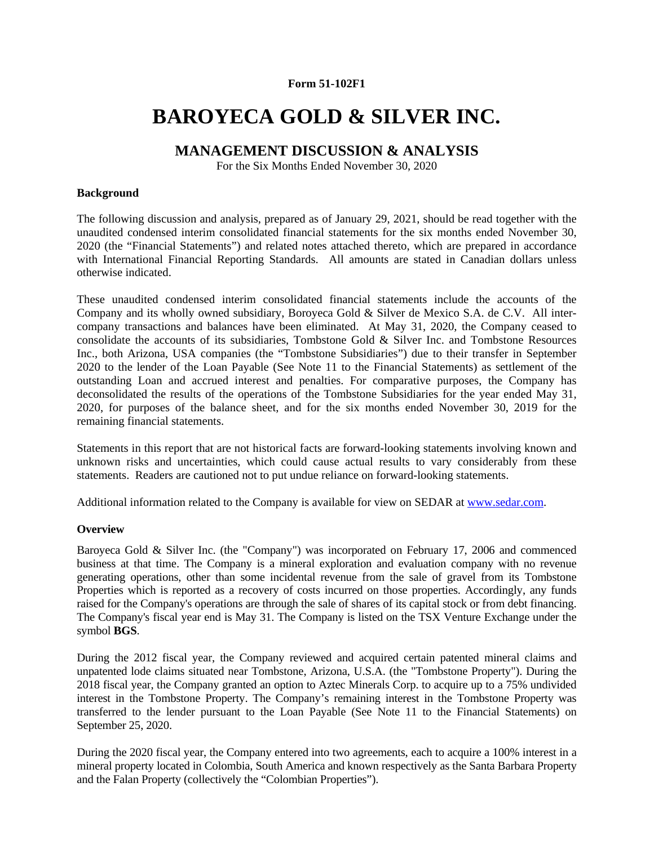## **Form 51-102F1**

# **BAROYECA GOLD & SILVER INC.**

## **MANAGEMENT DISCUSSION & ANALYSIS**

For the Six Months Ended November 30, 2020

#### **Background**

The following discussion and analysis, prepared as of January 29, 2021, should be read together with the unaudited condensed interim consolidated financial statements for the six months ended November 30, 2020 (the "Financial Statements") and related notes attached thereto, which are prepared in accordance with International Financial Reporting Standards. All amounts are stated in Canadian dollars unless otherwise indicated.

These unaudited condensed interim consolidated financial statements include the accounts of the Company and its wholly owned subsidiary, Boroyeca Gold & Silver de Mexico S.A. de C.V. All intercompany transactions and balances have been eliminated. At May 31, 2020, the Company ceased to consolidate the accounts of its subsidiaries, Tombstone Gold & Silver Inc. and Tombstone Resources Inc., both Arizona, USA companies (the "Tombstone Subsidiaries") due to their transfer in September 2020 to the lender of the Loan Payable (See Note 11 to the Financial Statements) as settlement of the outstanding Loan and accrued interest and penalties. For comparative purposes, the Company has deconsolidated the results of the operations of the Tombstone Subsidiaries for the year ended May 31, 2020, for purposes of the balance sheet, and for the six months ended November 30, 2019 for the remaining financial statements.

Statements in this report that are not historical facts are forward-looking statements involving known and unknown risks and uncertainties, which could cause actual results to vary considerably from these statements. Readers are cautioned not to put undue reliance on forward-looking statements.

Additional information related to the Company is available for view on SEDAR at www.sedar.com.

## **Overview**

Baroyeca Gold & Silver Inc. (the "Company") was incorporated on February 17, 2006 and commenced business at that time. The Company is a mineral exploration and evaluation company with no revenue generating operations, other than some incidental revenue from the sale of gravel from its Tombstone Properties which is reported as a recovery of costs incurred on those properties. Accordingly, any funds raised for the Company's operations are through the sale of shares of its capital stock or from debt financing. The Company's fiscal year end is May 31. The Company is listed on the TSX Venture Exchange under the symbol **BGS**.

During the 2012 fiscal year, the Company reviewed and acquired certain patented mineral claims and unpatented lode claims situated near Tombstone, Arizona, U.S.A. (the "Tombstone Property"). During the 2018 fiscal year, the Company granted an option to Aztec Minerals Corp. to acquire up to a 75% undivided interest in the Tombstone Property. The Company's remaining interest in the Tombstone Property was transferred to the lender pursuant to the Loan Payable (See Note 11 to the Financial Statements) on September 25, 2020.

During the 2020 fiscal year, the Company entered into two agreements, each to acquire a 100% interest in a mineral property located in Colombia, South America and known respectively as the Santa Barbara Property and the Falan Property (collectively the "Colombian Properties").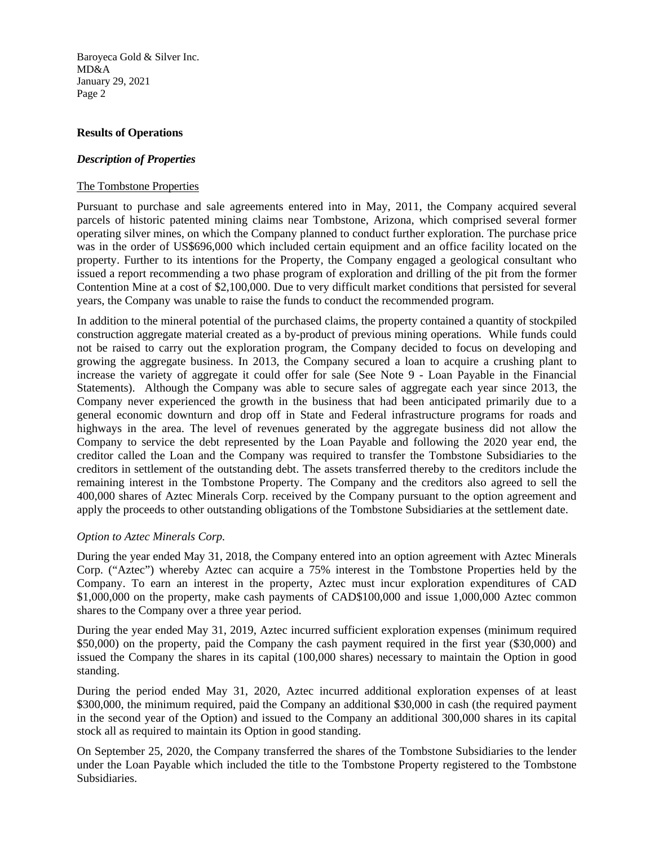## **Results of Operations**

#### *Description of Properties*

#### The Tombstone Properties

Pursuant to purchase and sale agreements entered into in May, 2011, the Company acquired several parcels of historic patented mining claims near Tombstone, Arizona, which comprised several former operating silver mines, on which the Company planned to conduct further exploration. The purchase price was in the order of US\$696,000 which included certain equipment and an office facility located on the property. Further to its intentions for the Property, the Company engaged a geological consultant who issued a report recommending a two phase program of exploration and drilling of the pit from the former Contention Mine at a cost of \$2,100,000. Due to very difficult market conditions that persisted for several years, the Company was unable to raise the funds to conduct the recommended program.

In addition to the mineral potential of the purchased claims, the property contained a quantity of stockpiled construction aggregate material created as a by-product of previous mining operations. While funds could not be raised to carry out the exploration program, the Company decided to focus on developing and growing the aggregate business. In 2013, the Company secured a loan to acquire a crushing plant to increase the variety of aggregate it could offer for sale (See Note 9 - Loan Payable in the Financial Statements). Although the Company was able to secure sales of aggregate each year since 2013, the Company never experienced the growth in the business that had been anticipated primarily due to a general economic downturn and drop off in State and Federal infrastructure programs for roads and highways in the area. The level of revenues generated by the aggregate business did not allow the Company to service the debt represented by the Loan Payable and following the 2020 year end, the creditor called the Loan and the Company was required to transfer the Tombstone Subsidiaries to the creditors in settlement of the outstanding debt. The assets transferred thereby to the creditors include the remaining interest in the Tombstone Property. The Company and the creditors also agreed to sell the 400,000 shares of Aztec Minerals Corp. received by the Company pursuant to the option agreement and apply the proceeds to other outstanding obligations of the Tombstone Subsidiaries at the settlement date.

## *Option to Aztec Minerals Corp.*

During the year ended May 31, 2018, the Company entered into an option agreement with Aztec Minerals Corp. ("Aztec") whereby Aztec can acquire a 75% interest in the Tombstone Properties held by the Company. To earn an interest in the property, Aztec must incur exploration expenditures of CAD \$1,000,000 on the property, make cash payments of CAD\$100,000 and issue 1,000,000 Aztec common shares to the Company over a three year period.

During the year ended May 31, 2019, Aztec incurred sufficient exploration expenses (minimum required \$50,000) on the property, paid the Company the cash payment required in the first year (\$30,000) and issued the Company the shares in its capital (100,000 shares) necessary to maintain the Option in good standing.

During the period ended May 31, 2020, Aztec incurred additional exploration expenses of at least \$300,000, the minimum required, paid the Company an additional \$30,000 in cash (the required payment in the second year of the Option) and issued to the Company an additional 300,000 shares in its capital stock all as required to maintain its Option in good standing.

On September 25, 2020, the Company transferred the shares of the Tombstone Subsidiaries to the lender under the Loan Payable which included the title to the Tombstone Property registered to the Tombstone Subsidiaries.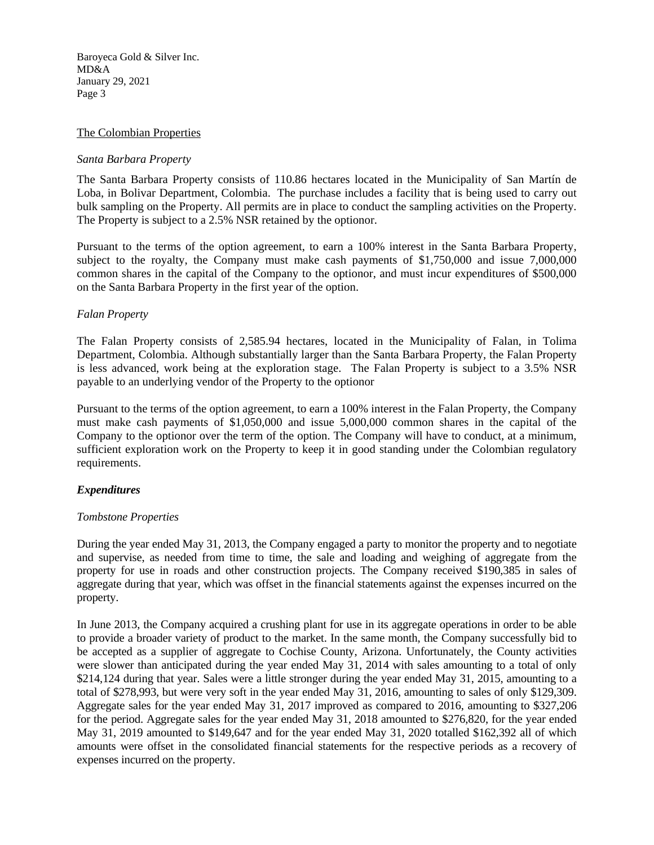#### The Colombian Properties

#### *Santa Barbara Property*

The Santa Barbara Property consists of 110.86 hectares located in the Municipality of San Martín de Loba, in Bolivar Department, Colombia. The purchase includes a facility that is being used to carry out bulk sampling on the Property. All permits are in place to conduct the sampling activities on the Property. The Property is subject to a 2.5% NSR retained by the optionor.

Pursuant to the terms of the option agreement, to earn a 100% interest in the Santa Barbara Property, subject to the royalty, the Company must make cash payments of \$1,750,000 and issue 7,000,000 common shares in the capital of the Company to the optionor, and must incur expenditures of \$500,000 on the Santa Barbara Property in the first year of the option.

#### *Falan Property*

The Falan Property consists of 2,585.94 hectares, located in the Municipality of Falan, in Tolima Department, Colombia. Although substantially larger than the Santa Barbara Property, the Falan Property is less advanced, work being at the exploration stage. The Falan Property is subject to a 3.5% NSR payable to an underlying vendor of the Property to the optionor

Pursuant to the terms of the option agreement, to earn a 100% interest in the Falan Property, the Company must make cash payments of \$1,050,000 and issue 5,000,000 common shares in the capital of the Company to the optionor over the term of the option. The Company will have to conduct, at a minimum, sufficient exploration work on the Property to keep it in good standing under the Colombian regulatory requirements.

## *Expenditures*

#### *Tombstone Properties*

During the year ended May 31, 2013, the Company engaged a party to monitor the property and to negotiate and supervise, as needed from time to time, the sale and loading and weighing of aggregate from the property for use in roads and other construction projects. The Company received \$190,385 in sales of aggregate during that year, which was offset in the financial statements against the expenses incurred on the property.

In June 2013, the Company acquired a crushing plant for use in its aggregate operations in order to be able to provide a broader variety of product to the market. In the same month, the Company successfully bid to be accepted as a supplier of aggregate to Cochise County, Arizona. Unfortunately, the County activities were slower than anticipated during the year ended May 31, 2014 with sales amounting to a total of only \$214,124 during that year. Sales were a little stronger during the year ended May 31, 2015, amounting to a total of \$278,993, but were very soft in the year ended May 31, 2016, amounting to sales of only \$129,309. Aggregate sales for the year ended May 31, 2017 improved as compared to 2016, amounting to \$327,206 for the period. Aggregate sales for the year ended May 31, 2018 amounted to \$276,820, for the year ended May 31, 2019 amounted to \$149,647 and for the year ended May 31, 2020 totalled \$162,392 all of which amounts were offset in the consolidated financial statements for the respective periods as a recovery of expenses incurred on the property.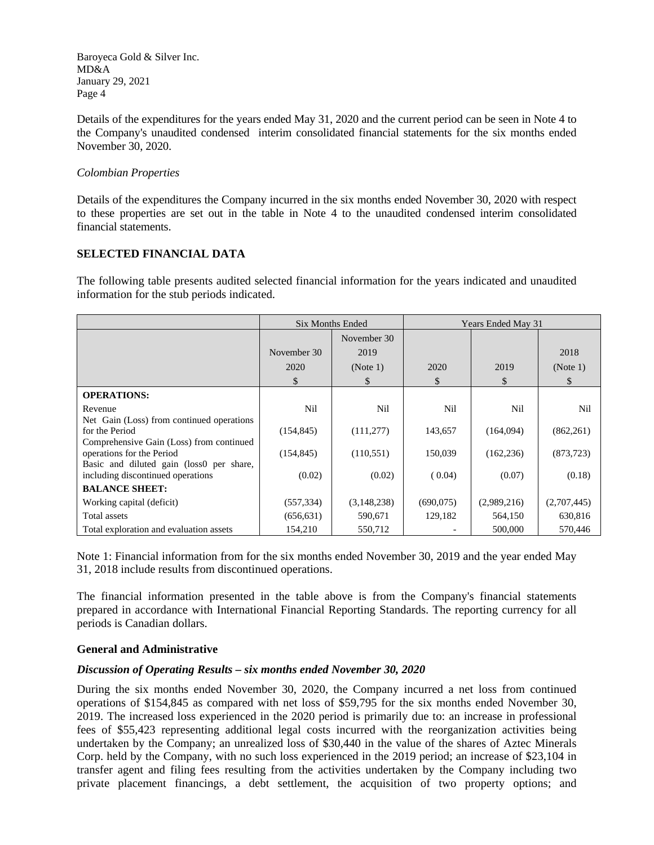Details of the expenditures for the years ended May 31, 2020 and the current period can be seen in Note 4 to the Company's unaudited condensed interim consolidated financial statements for the six months ended November 30, 2020.

## *Colombian Properties*

Details of the expenditures the Company incurred in the six months ended November 30, 2020 with respect to these properties are set out in the table in Note 4 to the unaudited condensed interim consolidated financial statements.

## **SELECTED FINANCIAL DATA**

The following table presents audited selected financial information for the years indicated and unaudited information for the stub periods indicated.

|                                                                       | <b>Six Months Ended</b> |             | <b>Years Ended May 31</b> |             |             |
|-----------------------------------------------------------------------|-------------------------|-------------|---------------------------|-------------|-------------|
|                                                                       |                         | November 30 |                           |             |             |
|                                                                       | November 30             | 2019        |                           |             | 2018        |
|                                                                       | 2020                    | (Note 1)    | 2020                      | 2019        | (Note 1)    |
|                                                                       | \$                      | \$          | \$                        | \$          | \$          |
| <b>OPERATIONS:</b>                                                    |                         |             |                           |             |             |
| Revenue                                                               | Nil                     | Nil         | Nil                       | Nil         | Nil         |
| Net Gain (Loss) from continued operations                             |                         |             |                           |             |             |
| for the Period                                                        | (154, 845)              | (111, 277)  | 143,657                   | (164,094)   | (862, 261)  |
| Comprehensive Gain (Loss) from continued<br>operations for the Period | (154, 845)              | (110, 551)  | 150,039                   | (162, 236)  | (873, 723)  |
| Basic and diluted gain (loss0 per share,                              |                         |             |                           |             |             |
| including discontinued operations                                     | (0.02)                  | (0.02)      | (0.04)                    | (0.07)      | (0.18)      |
| <b>BALANCE SHEET:</b>                                                 |                         |             |                           |             |             |
| Working capital (deficit)                                             | (557, 334)              | (3,148,238) | (690,075)                 | (2,989,216) | (2,707,445) |
| Total assets                                                          | (656, 631)              | 590,671     | 129,182                   | 564,150     | 630,816     |
| Total exploration and evaluation assets                               | 154,210                 | 550,712     |                           | 500,000     | 570,446     |

Note 1: Financial information from for the six months ended November 30, 2019 and the year ended May 31, 2018 include results from discontinued operations.

The financial information presented in the table above is from the Company's financial statements prepared in accordance with International Financial Reporting Standards. The reporting currency for all periods is Canadian dollars.

## **General and Administrative**

## *Discussion of Operating Results – six months ended November 30, 2020*

During the six months ended November 30, 2020, the Company incurred a net loss from continued operations of \$154,845 as compared with net loss of \$59,795 for the six months ended November 30, 2019. The increased loss experienced in the 2020 period is primarily due to: an increase in professional fees of \$55,423 representing additional legal costs incurred with the reorganization activities being undertaken by the Company; an unrealized loss of \$30,440 in the value of the shares of Aztec Minerals Corp. held by the Company, with no such loss experienced in the 2019 period; an increase of \$23,104 in transfer agent and filing fees resulting from the activities undertaken by the Company including two private placement financings, a debt settlement, the acquisition of two property options; and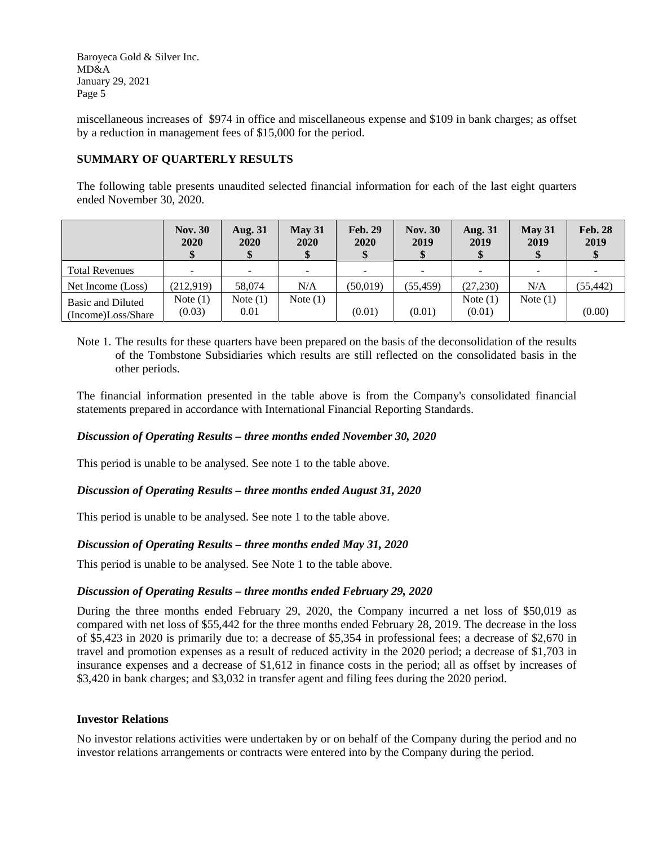miscellaneous increases of \$974 in office and miscellaneous expense and \$109 in bank charges; as offset by a reduction in management fees of \$15,000 for the period.

## **SUMMARY OF QUARTERLY RESULTS**

The following table presents unaudited selected financial information for each of the last eight quarters ended November 30, 2020.

|                                         | <b>Nov. 30</b><br>2020 | <b>Aug. 31</b><br>2020 | May 31<br>2020 | <b>Feb. 29</b><br>2020<br>\$ | <b>Nov. 30</b><br>2019 | <b>Aug. 31</b><br>2019 | May 31<br>2019 | <b>Feb. 28</b><br>2019 |
|-----------------------------------------|------------------------|------------------------|----------------|------------------------------|------------------------|------------------------|----------------|------------------------|
| <b>Total Revenues</b>                   | $\sim$                 | -                      | $\sim$         | $\overline{\phantom{0}}$     |                        | $\sim$                 | -              |                        |
| Net Income (Loss)                       | (212,919)              | 58,074                 | N/A            | (50, 019)                    | (55, 459)              | (27, 230)              | N/A            | (55, 442)              |
| Basic and Diluted<br>(Income)Loss/Share | Note $(1)$<br>(0.03)   | Note $(1)$<br>0.01     | Note $(1)$     | (0.01)                       | (0.01)                 | Note $(1)$<br>(0.01)   | Note $(1)$     | (0.00)                 |

Note 1. The results for these quarters have been prepared on the basis of the deconsolidation of the results of the Tombstone Subsidiaries which results are still reflected on the consolidated basis in the other periods.

The financial information presented in the table above is from the Company's consolidated financial statements prepared in accordance with International Financial Reporting Standards.

## *Discussion of Operating Results – three months ended November 30, 2020*

This period is unable to be analysed. See note 1 to the table above.

## *Discussion of Operating Results – three months ended August 31, 2020*

This period is unable to be analysed. See note 1 to the table above.

## *Discussion of Operating Results – three months ended May 31, 2020*

This period is unable to be analysed. See Note 1 to the table above.

#### *Discussion of Operating Results – three months ended February 29, 2020*

During the three months ended February 29, 2020, the Company incurred a net loss of \$50,019 as compared with net loss of \$55,442 for the three months ended February 28, 2019. The decrease in the loss of \$5,423 in 2020 is primarily due to: a decrease of \$5,354 in professional fees; a decrease of \$2,670 in travel and promotion expenses as a result of reduced activity in the 2020 period; a decrease of \$1,703 in insurance expenses and a decrease of \$1,612 in finance costs in the period; all as offset by increases of \$3,420 in bank charges; and \$3,032 in transfer agent and filing fees during the 2020 period.

#### **Investor Relations**

No investor relations activities were undertaken by or on behalf of the Company during the period and no investor relations arrangements or contracts were entered into by the Company during the period.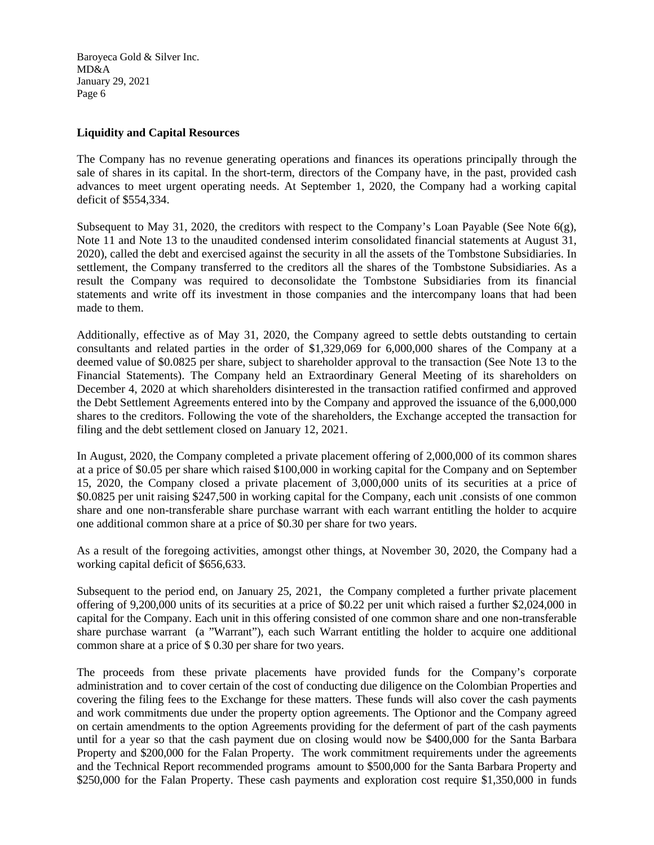## **Liquidity and Capital Resources**

The Company has no revenue generating operations and finances its operations principally through the sale of shares in its capital. In the short-term, directors of the Company have, in the past, provided cash advances to meet urgent operating needs. At September 1, 2020, the Company had a working capital deficit of \$554,334.

Subsequent to May 31, 2020, the creditors with respect to the Company's Loan Payable (See Note  $6(g)$ , Note 11 and Note 13 to the unaudited condensed interim consolidated financial statements at August 31, 2020), called the debt and exercised against the security in all the assets of the Tombstone Subsidiaries. In settlement, the Company transferred to the creditors all the shares of the Tombstone Subsidiaries. As a result the Company was required to deconsolidate the Tombstone Subsidiaries from its financial statements and write off its investment in those companies and the intercompany loans that had been made to them.

Additionally, effective as of May 31, 2020, the Company agreed to settle debts outstanding to certain consultants and related parties in the order of \$1,329,069 for 6,000,000 shares of the Company at a deemed value of \$0.0825 per share, subject to shareholder approval to the transaction (See Note 13 to the Financial Statements). The Company held an Extraordinary General Meeting of its shareholders on December 4, 2020 at which shareholders disinterested in the transaction ratified confirmed and approved the Debt Settlement Agreements entered into by the Company and approved the issuance of the 6,000,000 shares to the creditors. Following the vote of the shareholders, the Exchange accepted the transaction for filing and the debt settlement closed on January 12, 2021.

In August, 2020, the Company completed a private placement offering of 2,000,000 of its common shares at a price of \$0.05 per share which raised \$100,000 in working capital for the Company and on September 15, 2020, the Company closed a private placement of 3,000,000 units of its securities at a price of \$0.0825 per unit raising \$247,500 in working capital for the Company, each unit .consists of one common share and one non-transferable share purchase warrant with each warrant entitling the holder to acquire one additional common share at a price of \$0.30 per share for two years.

As a result of the foregoing activities, amongst other things, at November 30, 2020, the Company had a working capital deficit of \$656,633.

Subsequent to the period end, on January 25, 2021, the Company completed a further private placement offering of 9,200,000 units of its securities at a price of \$0.22 per unit which raised a further \$2,024,000 in capital for the Company. Each unit in this offering consisted of one common share and one non-transferable share purchase warrant (a "Warrant"), each such Warrant entitling the holder to acquire one additional common share at a price of \$ 0.30 per share for two years.

The proceeds from these private placements have provided funds for the Company's corporate administration and to cover certain of the cost of conducting due diligence on the Colombian Properties and covering the filing fees to the Exchange for these matters. These funds will also cover the cash payments and work commitments due under the property option agreements. The Optionor and the Company agreed on certain amendments to the option Agreements providing for the deferment of part of the cash payments until for a year so that the cash payment due on closing would now be \$400,000 for the Santa Barbara Property and \$200,000 for the Falan Property. The work commitment requirements under the agreements and the Technical Report recommended programs amount to \$500,000 for the Santa Barbara Property and \$250,000 for the Falan Property. These cash payments and exploration cost require \$1,350,000 in funds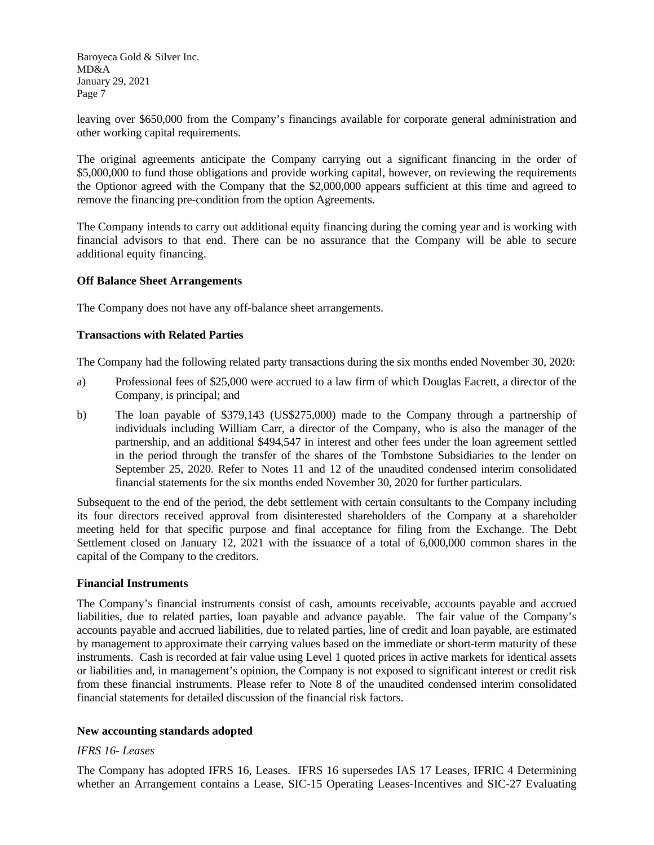leaving over \$650,000 from the Company's financings available for corporate general administration and other working capital requirements.

The original agreements anticipate the Company carrying out a significant financing in the order of \$5,000,000 to fund those obligations and provide working capital, however, on reviewing the requirements the Optionor agreed with the Company that the \$2,000,000 appears sufficient at this time and agreed to remove the financing pre-condition from the option Agreements.

The Company intends to carry out additional equity financing during the coming year and is working with financial advisors to that end. There can be no assurance that the Company will be able to secure additional equity financing.

#### **Off Balance Sheet Arrangements**

The Company does not have any off-balance sheet arrangements.

#### **Transactions with Related Parties**

The Company had the following related party transactions during the six months ended November 30, 2020:

- a) Professional fees of \$25,000 were accrued to a law firm of which Douglas Eacrett, a director of the Company, is principal; and
- b) The loan payable of \$379,143 (US\$275,000) made to the Company through a partnership of individuals including William Carr, a director of the Company, who is also the manager of the partnership, and an additional \$494,547 in interest and other fees under the loan agreement settled in the period through the transfer of the shares of the Tombstone Subsidiaries to the lender on September 25, 2020. Refer to Notes 11 and 12 of the unaudited condensed interim consolidated financial statements for the six months ended November 30, 2020 for further particulars.

Subsequent to the end of the period, the debt settlement with certain consultants to the Company including its four directors received approval from disinterested shareholders of the Company at a shareholder meeting held for that specific purpose and final acceptance for filing from the Exchange. The Debt Settlement closed on January 12, 2021 with the issuance of a total of 6,000,000 common shares in the capital of the Company to the creditors.

## **Financial Instruments**

The Company's financial instruments consist of cash, amounts receivable, accounts payable and accrued liabilities, due to related parties, loan payable and advance payable. The fair value of the Company's accounts payable and accrued liabilities, due to related parties, line of credit and loan payable, are estimated by management to approximate their carrying values based on the immediate or short-term maturity of these instruments. Cash is recorded at fair value using Level 1 quoted prices in active markets for identical assets or liabilities and, in management's opinion, the Company is not exposed to significant interest or credit risk from these financial instruments. Please refer to Note 8 of the unaudited condensed interim consolidated financial statements for detailed discussion of the financial risk factors.

## **New accounting standards adopted**

#### *IFRS 16- Leases*

The Company has adopted IFRS 16, Leases. IFRS 16 supersedes IAS 17 Leases, IFRIC 4 Determining whether an Arrangement contains a Lease, SIC-15 Operating Leases-Incentives and SIC-27 Evaluating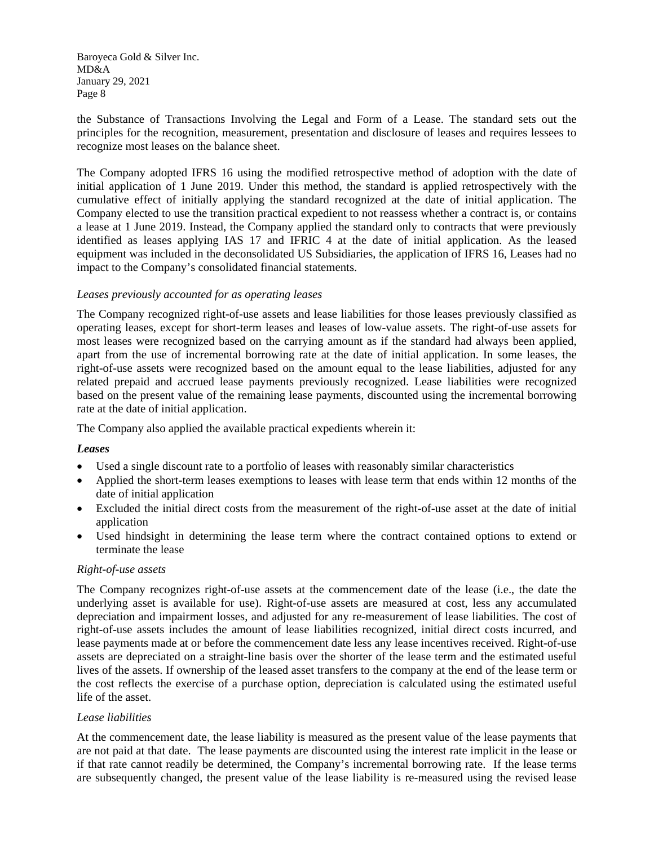the Substance of Transactions Involving the Legal and Form of a Lease. The standard sets out the principles for the recognition, measurement, presentation and disclosure of leases and requires lessees to recognize most leases on the balance sheet.

The Company adopted IFRS 16 using the modified retrospective method of adoption with the date of initial application of 1 June 2019. Under this method, the standard is applied retrospectively with the cumulative effect of initially applying the standard recognized at the date of initial application. The Company elected to use the transition practical expedient to not reassess whether a contract is, or contains a lease at 1 June 2019. Instead, the Company applied the standard only to contracts that were previously identified as leases applying IAS 17 and IFRIC 4 at the date of initial application. As the leased equipment was included in the deconsolidated US Subsidiaries, the application of IFRS 16, Leases had no impact to the Company's consolidated financial statements.

#### *Leases previously accounted for as operating leases*

The Company recognized right-of-use assets and lease liabilities for those leases previously classified as operating leases, except for short-term leases and leases of low-value assets. The right-of-use assets for most leases were recognized based on the carrying amount as if the standard had always been applied, apart from the use of incremental borrowing rate at the date of initial application. In some leases, the right-of-use assets were recognized based on the amount equal to the lease liabilities, adjusted for any related prepaid and accrued lease payments previously recognized. Lease liabilities were recognized based on the present value of the remaining lease payments, discounted using the incremental borrowing rate at the date of initial application.

The Company also applied the available practical expedients wherein it:

#### *Leases*

- Used a single discount rate to a portfolio of leases with reasonably similar characteristics
- Applied the short-term leases exemptions to leases with lease term that ends within 12 months of the date of initial application
- Excluded the initial direct costs from the measurement of the right-of-use asset at the date of initial application
- Used hindsight in determining the lease term where the contract contained options to extend or terminate the lease

#### *Right-of-use assets*

The Company recognizes right-of-use assets at the commencement date of the lease (i.e., the date the underlying asset is available for use). Right-of-use assets are measured at cost, less any accumulated depreciation and impairment losses, and adjusted for any re-measurement of lease liabilities. The cost of right-of-use assets includes the amount of lease liabilities recognized, initial direct costs incurred, and lease payments made at or before the commencement date less any lease incentives received. Right-of-use assets are depreciated on a straight-line basis over the shorter of the lease term and the estimated useful lives of the assets. If ownership of the leased asset transfers to the company at the end of the lease term or the cost reflects the exercise of a purchase option, depreciation is calculated using the estimated useful life of the asset.

#### *Lease liabilities*

At the commencement date, the lease liability is measured as the present value of the lease payments that are not paid at that date. The lease payments are discounted using the interest rate implicit in the lease or if that rate cannot readily be determined, the Company's incremental borrowing rate. If the lease terms are subsequently changed, the present value of the lease liability is re-measured using the revised lease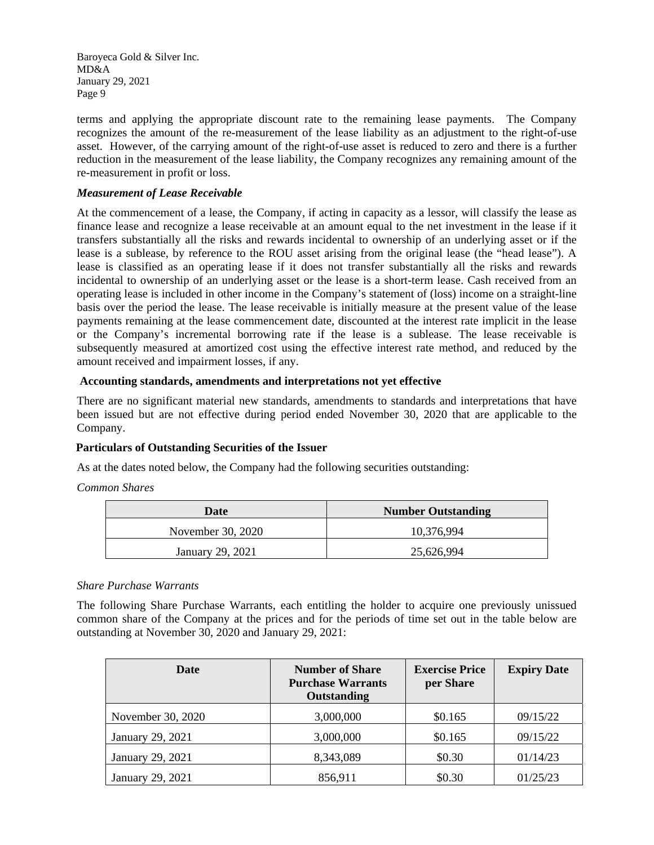terms and applying the appropriate discount rate to the remaining lease payments. The Company recognizes the amount of the re-measurement of the lease liability as an adjustment to the right-of-use asset. However, of the carrying amount of the right-of-use asset is reduced to zero and there is a further reduction in the measurement of the lease liability, the Company recognizes any remaining amount of the re-measurement in profit or loss.

## *Measurement of Lease Receivable*

At the commencement of a lease, the Company, if acting in capacity as a lessor, will classify the lease as finance lease and recognize a lease receivable at an amount equal to the net investment in the lease if it transfers substantially all the risks and rewards incidental to ownership of an underlying asset or if the lease is a sublease, by reference to the ROU asset arising from the original lease (the "head lease"). A lease is classified as an operating lease if it does not transfer substantially all the risks and rewards incidental to ownership of an underlying asset or the lease is a short-term lease. Cash received from an operating lease is included in other income in the Company's statement of (loss) income on a straight-line basis over the period the lease. The lease receivable is initially measure at the present value of the lease payments remaining at the lease commencement date, discounted at the interest rate implicit in the lease or the Company's incremental borrowing rate if the lease is a sublease. The lease receivable is subsequently measured at amortized cost using the effective interest rate method, and reduced by the amount received and impairment losses, if any.

## **Accounting standards, amendments and interpretations not yet effective**

There are no significant material new standards, amendments to standards and interpretations that have been issued but are not effective during period ended November 30, 2020 that are applicable to the Company.

## **Particulars of Outstanding Securities of the Issuer**

As at the dates noted below, the Company had the following securities outstanding:

## *Common Shares*

| Date              | <b>Number Outstanding</b> |  |  |
|-------------------|---------------------------|--|--|
| November 30, 2020 | 10,376,994                |  |  |
| January 29, 2021  | 25,626,994                |  |  |

## *Share Purchase Warrants*

The following Share Purchase Warrants, each entitling the holder to acquire one previously unissued common share of the Company at the prices and for the periods of time set out in the table below are outstanding at November 30, 2020 and January 29, 2021:

| Date              | <b>Exercise Price</b><br><b>Number of Share</b><br><b>Purchase Warrants</b><br>per Share<br>Outstanding |         | <b>Expiry Date</b> |  |
|-------------------|---------------------------------------------------------------------------------------------------------|---------|--------------------|--|
| November 30, 2020 | 3,000,000                                                                                               | \$0.165 | 09/15/22           |  |
| January 29, 2021  | 3,000,000                                                                                               | \$0.165 | 09/15/22           |  |
| January 29, 2021  | 8,343,089                                                                                               | \$0.30  | 01/14/23           |  |
| January 29, 2021  | 856,911                                                                                                 | \$0.30  | 01/25/23           |  |